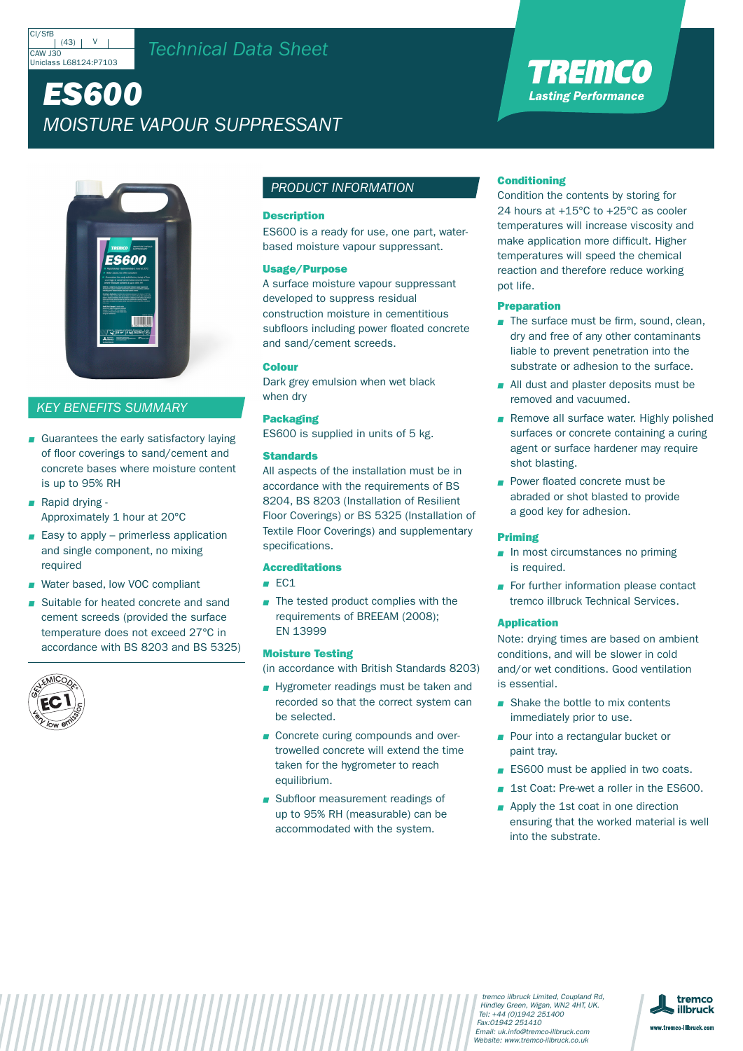#### CI/SfE  $(43)$  | V CAW J30 Uniclass L68124:P7103

## *Technical Data Sheet*

# *ES600 Moisture Vapour Suppressant*



## *KEY BENEFITS SUMMARY*

- Guarantees the early satisfactory laying of floor coverings to sand/cement and concrete bases where moisture content is up to 95% RH
- Rapid drying -Approximately 1 hour at 20°C
- $\blacksquare$  Easy to apply primerless application and single component, no mixing required
- Water based, low VOC compliant
- Suitable for heated concrete and sand cement screeds (provided the surface temperature does not exceed 27°C in accordance with BS 8203 and BS 5325)



## *PRODUCT INFORMATION*

## **Description**

ES600 is a ready for use, one part, waterbased moisture vapour suppressant.

## Usage/Purpose

A surface moisture vapour suppressant developed to suppress residual construction moisture in cementitious subfloors including power floated concrete and sand/cement screeds.

## Colour

Dark grey emulsion when wet black when dry

## Packaging

ES600 is supplied in units of 5 kg.

## Standards

All aspects of the installation must be in accordance with the requirements of BS 8204, BS 8203 (Installation of Resilient Floor Coverings) or BS 5325 (Installation of Textile Floor Coverings) and supplementary specifications.

## Accreditations

- $ECA$
- $\blacksquare$  The tested product complies with the requirements of BREEAM (2008); EN 13999

## Moisture Testing

(in accordance with British Standards 8203)

- Hygrometer readings must be taken and recorded so that the correct system can be selected.
- Concrete curing compounds and overtrowelled concrete will extend the time taken for the hygrometer to reach equilibrium.
- Subfloor measurement readings of up to 95% RH (measurable) can be accommodated with the system.

## **Conditioning**

Condition the contents by storing for 24 hours at +15°C to +25°C as cooler temperatures will increase viscosity and make application more difficult. Higher temperatures will speed the chemical reaction and therefore reduce working pot life.

TREMCO **Lasting Performance** 

## Preparation

- The surface must be firm, sound, clean, dry and free of any other contaminants liable to prevent penetration into the substrate or adhesion to the surface.
- All dust and plaster deposits must be removed and vacuumed.
- Remove all surface water. Highly polished surfaces or concrete containing a curing agent or surface hardener may require shot blasting.
- **Power floated concrete must be** abraded or shot blasted to provide a good key for adhesion.

## Priming

- $\blacksquare$  In most circumstances no priming is required.
- For further information please contact tremco illbruck Technical Services.

## Application

Note: drying times are based on ambient conditions, and will be slower in cold and/or wet conditions. Good ventilation is essential.

- Shake the bottle to mix contents immediately prior to use.
- **Pour into a rectangular bucket or** paint tray.
- **ES600** must be applied in two coats.
- 1st Coat: Pre-wet a roller in the ES600.
- Apply the 1st coat in one direction ensuring that the worked material is well into the substrate.